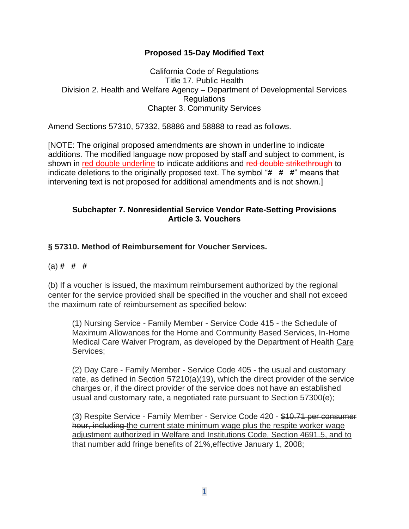### **Proposed 15-Day Modified Text**

#### California Code of Regulations Title 17. Public Health Division 2. Health and Welfare Agency – Department of Developmental Services **Regulations** Chapter 3. Community Services

Amend Sections 57310, 57332, 58886 and 58888 to read as follows.

[NOTE: The original proposed amendments are shown in underline to indicate additions. The modified language now proposed by staff and subject to comment, is shown in red double underline to indicate additions and red double strikethrough to indicate deletions to the originally proposed text. The symbol "**# # #**" means that intervening text is not proposed for additional amendments and is not shown.]

#### **Subchapter 7. Nonresidential Service Vendor Rate-Setting Provisions Article 3. Vouchers**

## **§ 57310. Method of Reimbursement for Voucher Services.**

### (a) **# # #**

(b) If a voucher is issued, the maximum reimbursement authorized by the regional center for the service provided shall be specified in the voucher and shall not exceed the maximum rate of reimbursement as specified below:

(1) Nursing Service - Family Member - Service Code 415 - the Schedule of Maximum Allowances for the Home and Community Based Services, In-Home Medical Care Waiver Program, as developed by the Department of Health Care Services;

(2) Day Care - Family Member - Service Code 405 - the usual and customary rate, as defined in Section 57210(a)(19), which the direct provider of the service charges or, if the direct provider of the service does not have an established usual and customary rate, a negotiated rate pursuant to Section 57300(e);

(3) Respite Service - Family Member - Service Code 420 - \$10.71 per consumer hour, including the current state minimum wage plus the respite worker wage adjustment authorized in Welfare and Institutions Code, Section 4691.5, and to that number add fringe benefits of 21%,effective January 1, 2008;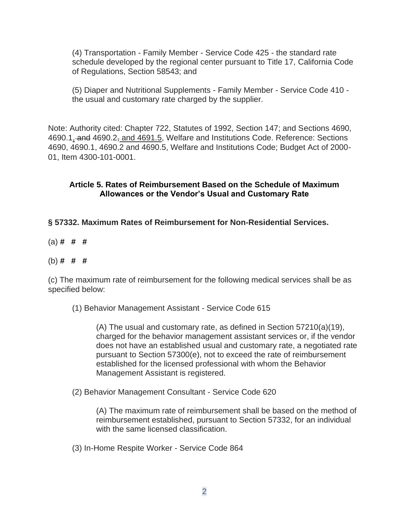(4) Transportation - Family Member - Service Code 425 - the standard rate schedule developed by the regional center pursuant to Title 17, California Code of Regulations, Section 58543; and

(5) Diaper and Nutritional Supplements - Family Member - Service Code 410 the usual and customary rate charged by the supplier.

Note: Authority cited: Chapter 722, Statutes of 1992, Section 147; and Sections 4690, 4690.1, and 4690.2, and 4691.5, Welfare and Institutions Code. Reference: Sections 4690, 4690.1, 4690.2 and 4690.5, Welfare and Institutions Code; Budget Act of 2000- 01, Item 4300-101-0001.

## **Article 5. Rates of Reimbursement Based on the Schedule of Maximum Allowances or the Vendor's Usual and Customary Rate**

**§ 57332. Maximum Rates of Reimbursement for Non-Residential Services.**

(a) **# # #**

## (b) **# # #**

(c) The maximum rate of reimbursement for the following medical services shall be as specified below:

(1) Behavior Management Assistant - Service Code 615

(A) The usual and customary rate, as defined in Section 57210(a)(19), charged for the behavior management assistant services or, if the vendor does not have an established usual and customary rate, a negotiated rate pursuant to Section 57300(e), not to exceed the rate of reimbursement established for the licensed professional with whom the Behavior Management Assistant is registered.

(2) Behavior Management Consultant - Service Code 620

(A) The maximum rate of reimbursement shall be based on the method of reimbursement established, pursuant to Section 57332, for an individual with the same licensed classification.

(3) In-Home Respite Worker - Service Code 864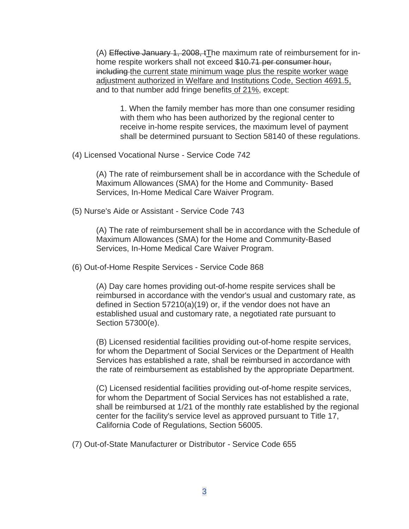(A) Effective January 1, 2008, tThe maximum rate of reimbursement for inhome respite workers shall not exceed \$10.71 per consumer hour, including the current state minimum wage plus the respite worker wage adjustment authorized in Welfare and Institutions Code, Section 4691.5, and to that number add fringe benefits of 21%, except:

1. When the family member has more than one consumer residing with them who has been authorized by the regional center to receive in-home respite services, the maximum level of payment shall be determined pursuant to Section 58140 of these regulations.

(4) Licensed Vocational Nurse - Service Code 742

(A) The rate of reimbursement shall be in accordance with the Schedule of Maximum Allowances (SMA) for the Home and Community- Based Services, In-Home Medical Care Waiver Program.

(5) Nurse's Aide or Assistant - Service Code 743

(A) The rate of reimbursement shall be in accordance with the Schedule of Maximum Allowances (SMA) for the Home and Community-Based Services, In-Home Medical Care Waiver Program.

(6) Out-of-Home Respite Services - Service Code 868

(A) Day care homes providing out-of-home respite services shall be reimbursed in accordance with the vendor's usual and customary rate, as defined in Section 57210(a)(19) or, if the vendor does not have an established usual and customary rate, a negotiated rate pursuant to Section 57300(e).

(B) Licensed residential facilities providing out-of-home respite services, for whom the Department of Social Services or the Department of Health Services has established a rate, shall be reimbursed in accordance with the rate of reimbursement as established by the appropriate Department.

(C) Licensed residential facilities providing out-of-home respite services, for whom the Department of Social Services has not established a rate, shall be reimbursed at 1/21 of the monthly rate established by the regional center for the facility's service level as approved pursuant to Title 17, California Code of Regulations, Section 56005.

(7) Out-of-State Manufacturer or Distributor - Service Code 655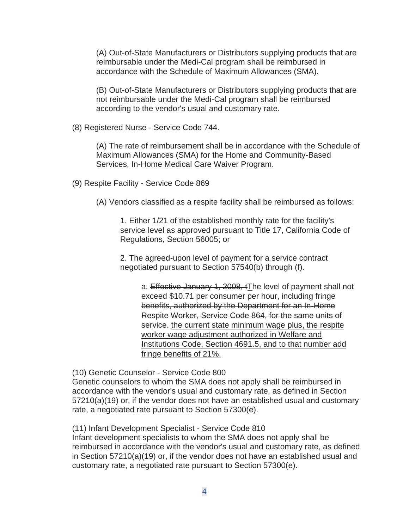(A) Out-of-State Manufacturers or Distributors supplying products that are reimbursable under the Medi-Cal program shall be reimbursed in accordance with the Schedule of Maximum Allowances (SMA).

(B) Out-of-State Manufacturers or Distributors supplying products that are not reimbursable under the Medi-Cal program shall be reimbursed according to the vendor's usual and customary rate.

(8) Registered Nurse - Service Code 744.

(A) The rate of reimbursement shall be in accordance with the Schedule of Maximum Allowances (SMA) for the Home and Community-Based Services, In-Home Medical Care Waiver Program.

(9) Respite Facility - Service Code 869

(A) Vendors classified as a respite facility shall be reimbursed as follows:

1. Either 1/21 of the established monthly rate for the facility's service level as approved pursuant to Title 17, California Code of Regulations, Section 56005; or

2. The agreed-upon level of payment for a service contract negotiated pursuant to Section 57540(b) through (f).

a. Effective January 1, 2008, tThe level of payment shall not exceed \$10.71 per consumer per hour, including fringe benefits, authorized by the Department for an In-Home Respite Worker, Service Code 864, for the same units of service. the current state minimum wage plus, the respite worker wage adjustment authorized in Welfare and Institutions Code, Section 4691.5, and to that number add fringe benefits of 21%.

(10) Genetic Counselor - Service Code 800

Genetic counselors to whom the SMA does not apply shall be reimbursed in accordance with the vendor's usual and customary rate, as defined in Section 57210(a)(19) or, if the vendor does not have an established usual and customary rate, a negotiated rate pursuant to Section 57300(e).

(11) Infant Development Specialist - Service Code 810

Infant development specialists to whom the SMA does not apply shall be reimbursed in accordance with the vendor's usual and customary rate, as defined in Section 57210(a)(19) or, if the vendor does not have an established usual and customary rate, a negotiated rate pursuant to Section 57300(e).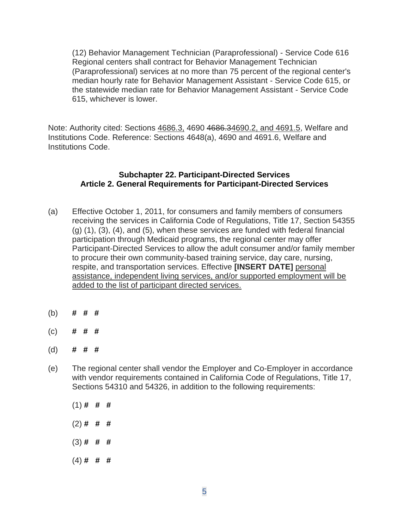(12) Behavior Management Technician (Paraprofessional) - Service Code 616 Regional centers shall contract for Behavior Management Technician (Paraprofessional) services at no more than 75 percent of the regional center's median hourly rate for Behavior Management Assistant - Service Code 615, or the statewide median rate for Behavior Management Assistant - Service Code 615, whichever is lower.

Note: Authority cited: Sections 4686.3, 4690 4686.34690.2, and 4691.5, Welfare and Institutions Code. Reference: Sections 4648(a), 4690 and 4691.6, Welfare and Institutions Code.

#### **Subchapter 22. Participant-Directed Services Article 2. General Requirements for Participant-Directed Services**

- (a) Effective October 1, 2011, for consumers and family members of consumers receiving the services in California Code of Regulations, Title 17, Section 54355 (g) (1), (3), (4), and (5), when these services are funded with federal financial participation through Medicaid programs, the regional center may offer Participant-Directed Services to allow the adult consumer and/or family member to procure their own community-based training service, day care, nursing, respite, and transportation services. Effective **[INSERT DATE]** personal assistance, independent living services, and/or supported employment will be added to the list of participant directed services.
- (b) **# # #**
- (c) **# # #**
- (d) **# # #**
- (e) The regional center shall vendor the Employer and Co-Employer in accordance with vendor requirements contained in California Code of Regulations, Title 17, Sections 54310 and 54326, in addition to the following requirements:
	- (1) **# # #**
	- (2) **# # #**
	- (3) **# # #**
	- (4) **# # #**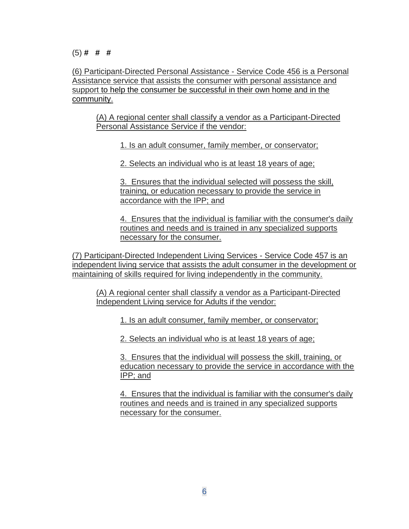(6) Participant-Directed Personal Assistance - Service Code 456 is a Personal Assistance service that assists the consumer with personal assistance and support to help the consumer be successful in their own home and in the community.

(A) A regional center shall classify a vendor as a Participant-Directed Personal Assistance Service if the vendor:

1. Is an adult consumer, family member, or conservator;

2. Selects an individual who is at least 18 years of age;

3. Ensures that the individual selected will possess the skill, training, or education necessary to provide the service in accordance with the IPP; and

4. Ensures that the individual is familiar with the consumer's daily routines and needs and is trained in any specialized supports necessary for the consumer.

(7) Participant-Directed Independent Living Services - Service Code 457 is an independent living service that assists the adult consumer in the development or maintaining of skills required for living independently in the community.

(A) A regional center shall classify a vendor as a Participant-Directed Independent Living service for Adults if the vendor:

1. Is an adult consumer, family member, or conservator;

2. Selects an individual who is at least 18 years of age;

3. Ensures that the individual will possess the skill, training, or education necessary to provide the service in accordance with the IPP; and

4. Ensures that the individual is familiar with the consumer's daily routines and needs and is trained in any specialized supports necessary for the consumer.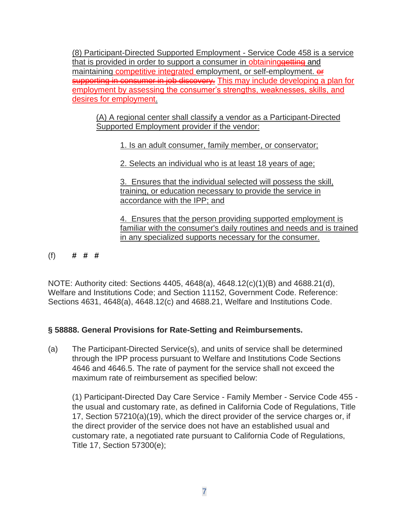(8) Participant-Directed Supported Employment - Service Code 458 is a service that is provided in order to support a consumer in **obtaining eetting** and maintaining competitive integrated employment, or self-employment.  $\theta$ supporting in consumer in job discovery. This may include developing a plan for employment by assessing the consumer's strengths, weaknesses, skills, and desires for employment.

(A) A regional center shall classify a vendor as a Participant-Directed Supported Employment provider if the vendor:

1. Is an adult consumer, family member, or conservator;

2. Selects an individual who is at least 18 years of age;

3. Ensures that the individual selected will possess the skill, training, or education necessary to provide the service in accordance with the IPP; and

4. Ensures that the person providing supported employment is familiar with the consumer's daily routines and needs and is trained in any specialized supports necessary for the consumer.

(f) **# # #**

NOTE: Authority cited: Sections 4405, 4648(a), 4648.12(c)(1)(B) and 4688.21(d), Welfare and Institutions Code; and Section 11152, Government Code. Reference: Sections 4631, 4648(a), 4648.12(c) and 4688.21, Welfare and Institutions Code.

# **§ 58888. General Provisions for Rate-Setting and Reimbursements.**

(a) The Participant-Directed Service(s), and units of service shall be determined through the IPP process pursuant to Welfare and Institutions Code Sections 4646 and 4646.5. The rate of payment for the service shall not exceed the maximum rate of reimbursement as specified below:

(1) Participant-Directed Day Care Service - Family Member - Service Code 455 the usual and customary rate, as defined in California Code of Regulations, Title 17, Section 57210(a)(19), which the direct provider of the service charges or, if the direct provider of the service does not have an established usual and customary rate, a negotiated rate pursuant to California Code of Regulations, Title 17, Section 57300(e);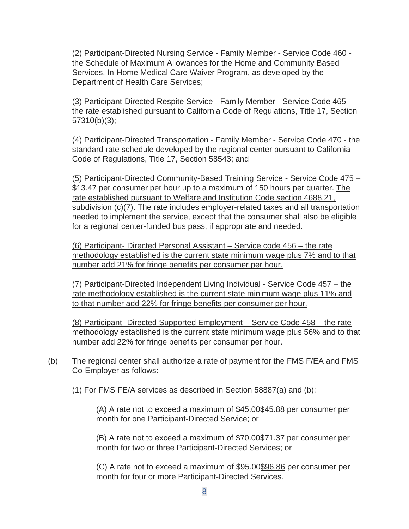(2) Participant-Directed Nursing Service - Family Member - Service Code 460 the Schedule of Maximum Allowances for the Home and Community Based Services, In-Home Medical Care Waiver Program, as developed by the Department of Health Care Services;

(3) Participant-Directed Respite Service - Family Member - Service Code 465 the rate established pursuant to California Code of Regulations, Title 17, Section 57310(b)(3);

(4) Participant-Directed Transportation - Family Member - Service Code 470 - the standard rate schedule developed by the regional center pursuant to California Code of Regulations, Title 17, Section 58543; and

(5) Participant-Directed Community-Based Training Service - Service Code 475 – \$13.47 per consumer per hour up to a maximum of 150 hours per quarter. The rate established pursuant to Welfare and Institution Code section 4688.21, subdivision (c)(7). The rate includes employer-related taxes and all transportation needed to implement the service, except that the consumer shall also be eligible for a regional center-funded bus pass, if appropriate and needed.

(6) Participant- Directed Personal Assistant – Service code 456 – the rate methodology established is the current state minimum wage plus 7% and to that number add 21% for fringe benefits per consumer per hour.

(7) Participant-Directed Independent Living Individual - Service Code 457 – the rate methodology established is the current state minimum wage plus 11% and to that number add 22% for fringe benefits per consumer per hour.

(8) Participant- Directed Supported Employment – Service Code 458 – the rate methodology established is the current state minimum wage plus 56% and to that number add 22% for fringe benefits per consumer per hour.

- (b) The regional center shall authorize a rate of payment for the FMS F/EA and FMS Co-Employer as follows:
	- (1) For FMS FE/A services as described in Section 58887(a) and (b):

(A) A rate not to exceed a maximum of \$45.00\$45.88 per consumer per month for one Participant-Directed Service; or

(B) A rate not to exceed a maximum of \$70.00\$71.37 per consumer per month for two or three Participant-Directed Services; or

(C) A rate not to exceed a maximum of \$95.00\$96.86 per consumer per month for four or more Participant-Directed Services.